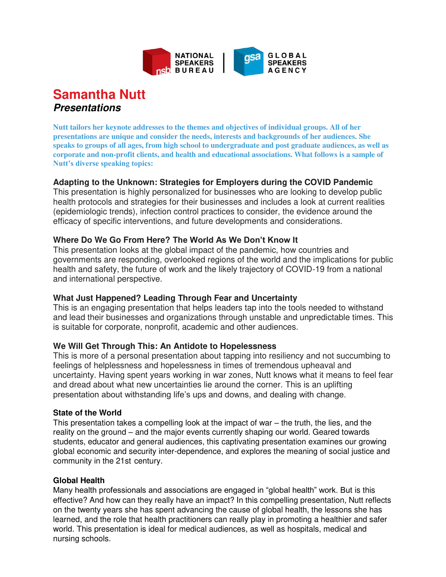

# **Samantha Nutt Presentations**

**Nutt tailors her keynote addresses to the themes and objectives of individual groups. All of her presentations are unique and consider the needs, interests and backgrounds of her audiences. She speaks to groups of all ages, from high school to undergraduate and post graduate audiences, as well as corporate and non-profit clients, and health and educational associations. What follows is a sample of Nutt's diverse speaking topics:**

# **Adapting to the Unknown: Strategies for Employers during the COVID Pandemic**

This presentation is highly personalized for businesses who are looking to develop public health protocols and strategies for their businesses and includes a look at current realities (epidemiologic trends), infection control practices to consider, the evidence around the efficacy of specific interventions, and future developments and considerations.

# **Where Do We Go From Here? The World As We Don't Know It**

This presentation looks at the global impact of the pandemic, how countries and governments are responding, overlooked regions of the world and the implications for public health and safety, the future of work and the likely trajectory of COVID-19 from a national and international perspective.

# **What Just Happened? Leading Through Fear and Uncertainty**

This is an engaging presentation that helps leaders tap into the tools needed to withstand and lead their businesses and organizations through unstable and unpredictable times. This is suitable for corporate, nonprofit, academic and other audiences.

# **We Will Get Through This: An Antidote to Hopelessness**

This is more of a personal presentation about tapping into resiliency and not succumbing to feelings of helplessness and hopelessness in times of tremendous upheaval and uncertainty. Having spent years working in war zones, Nutt knows what it means to feel fear and dread about what new uncertainties lie around the corner. This is an uplifting presentation about withstanding life's ups and downs, and dealing with change.

# **State of the World**

This presentation takes a compelling look at the impact of war – the truth, the lies, and the reality on the ground – and the major events currently shaping our world. Geared towards students, educator and general audiences, this captivating presentation examines our growing global economic and security inter-dependence, and explores the meaning of social justice and community in the 21st century.

# **Global Health**

Many health professionals and associations are engaged in "global health" work. But is this effective? And how can they really have an impact? In this compelling presentation, Nutt reflects on the twenty years she has spent advancing the cause of global health, the lessons she has learned, and the role that health practitioners can really play in promoting a healthier and safer world. This presentation is ideal for medical audiences, as well as hospitals, medical and nursing schools.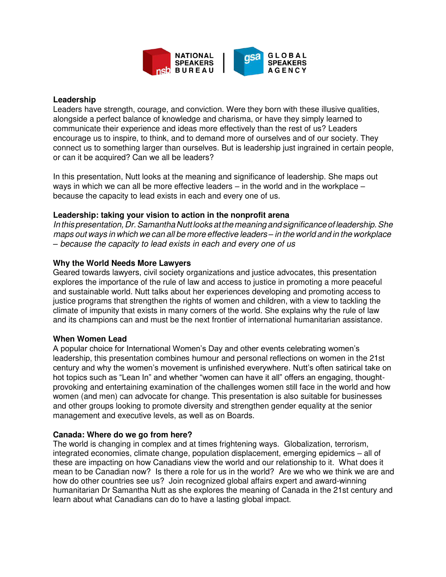

#### **Leadership**

Leaders have strength, courage, and conviction. Were they born with these illusive qualities, alongside a perfect balance of knowledge and charisma, or have they simply learned to communicate their experience and ideas more effectively than the rest of us? Leaders encourage us to inspire, to think, and to demand more of ourselves and of our society. They connect us to something larger than ourselves. But is leadership just ingrained in certain people, or can it be acquired? Can we all be leaders?

In this presentation, Nutt looks at the meaning and significance of leadership. She maps out ways in which we can all be more effective leaders – in the world and in the workplace – because the capacity to lead exists in each and every one of us.

# **Leadership: taking your vision to action in the nonprofit arena**

In this presentation, Dr. Samantha Nutt looks at the meaning and significance of leadership. She maps out ways in which we can all be more effective leaders *–* in the world and in the workplace *–* because the capacity to lead exists in each and every one of us

#### **Why the World Needs More Lawyers**

Geared towards lawyers, civil society organizations and justice advocates, this presentation explores the importance of the rule of law and access to justice in promoting a more peaceful and sustainable world. Nutt talks about her experiences developing and promoting access to justice programs that strengthen the rights of women and children, with a view to tackling the climate of impunity that exists in many corners of the world. She explains why the rule of law and its champions can and must be the next frontier of international humanitarian assistance.

#### **When Women Lead**

A popular choice for International Women's Day and other events celebrating women's leadership, this presentation combines humour and personal reflections on women in the 21st century and why the women's movement is unfinished everywhere. Nutt's often satirical take on hot topics such as "Lean In" and whether "women can have it all" offers an engaging, thoughtprovoking and entertaining examination of the challenges women still face in the world and how women (and men) can advocate for change. This presentation is also suitable for businesses and other groups looking to promote diversity and strengthen gender equality at the senior management and executive levels, as well as on Boards.

# **Canada: Where do we go from here?**

The world is changing in complex and at times frightening ways. Globalization, terrorism, integrated economies, climate change, population displacement, emerging epidemics – all of these are impacting on how Canadians view the world and our relationship to it. What does it mean to be Canadian now? Is there a role for us in the world? Are we who we think we are and how do other countries see us? Join recognized global affairs expert and award-winning humanitarian Dr Samantha Nutt as she explores the meaning of Canada in the 21st century and learn about what Canadians can do to have a lasting global impact.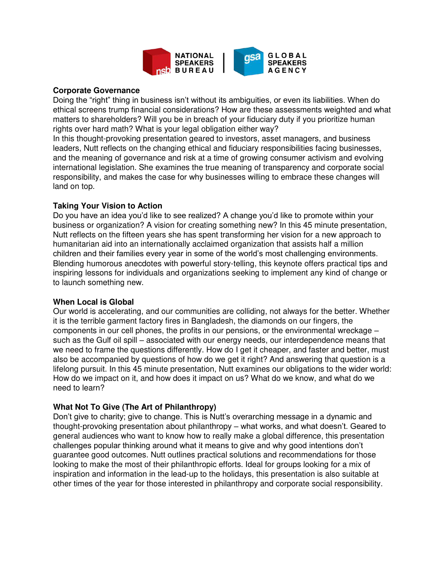

#### **Corporate Governance**

Doing the "right" thing in business isn't without its ambiguities, or even its liabilities. When do ethical screens trump financial considerations? How are these assessments weighted and what matters to shareholders? Will you be in breach of your fiduciary duty if you prioritize human rights over hard math? What is your legal obligation either way?

In this thought-provoking presentation geared to investors, asset managers, and business leaders, Nutt reflects on the changing ethical and fiduciary responsibilities facing businesses, and the meaning of governance and risk at a time of growing consumer activism and evolving international legislation. She examines the true meaning of transparency and corporate social responsibility, and makes the case for why businesses willing to embrace these changes will land on top.

#### **Taking Your Vision to Action**

Do you have an idea you'd like to see realized? A change you'd like to promote within your business or organization? A vision for creating something new? In this 45 minute presentation, Nutt reflects on the fifteen years she has spent transforming her vision for a new approach to humanitarian aid into an internationally acclaimed organization that assists half a million children and their families every year in some of the world's most challenging environments. Blending humorous anecdotes with powerful story-telling, this keynote offers practical tips and inspiring lessons for individuals and organizations seeking to implement any kind of change or to launch something new.

#### **When Local is Global**

Our world is accelerating, and our communities are colliding, not always for the better. Whether it is the terrible garment factory fires in Bangladesh, the diamonds on our fingers, the components in our cell phones, the profits in our pensions, or the environmental wreckage – such as the Gulf oil spill – associated with our energy needs, our interdependence means that we need to frame the questions differently. How do I get it cheaper, and faster and better, must also be accompanied by questions of how do we get it right? And answering that question is a lifelong pursuit. In this 45 minute presentation, Nutt examines our obligations to the wider world: How do we impact on it, and how does it impact on us? What do we know, and what do we need to learn?

# **What Not To Give (The Art of Philanthropy)**

Don't give to charity; give to change. This is Nutt's overarching message in a dynamic and thought-provoking presentation about philanthropy – what works, and what doesn't. Geared to general audiences who want to know how to really make a global difference, this presentation challenges popular thinking around what it means to give and why good intentions don't guarantee good outcomes. Nutt outlines practical solutions and recommendations for those looking to make the most of their philanthropic efforts. Ideal for groups looking for a mix of inspiration and information in the lead-up to the holidays, this presentation is also suitable at other times of the year for those interested in philanthropy and corporate social responsibility.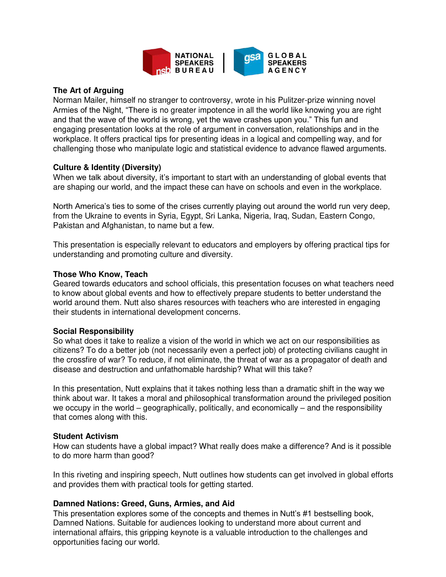

# **The Art of Arguing**

Norman Mailer, himself no stranger to controversy, wrote in his Pulitzer-prize winning novel Armies of the Night, "There is no greater impotence in all the world like knowing you are right and that the wave of the world is wrong, yet the wave crashes upon you." This fun and engaging presentation looks at the role of argument in conversation, relationships and in the workplace. It offers practical tips for presenting ideas in a logical and compelling way, and for challenging those who manipulate logic and statistical evidence to advance flawed arguments.

# **Culture & Identity (Diversity)**

When we talk about diversity, it's important to start with an understanding of global events that are shaping our world, and the impact these can have on schools and even in the workplace.

North America's ties to some of the crises currently playing out around the world run very deep, from the Ukraine to events in Syria, Egypt, Sri Lanka, Nigeria, Iraq, Sudan, Eastern Congo, Pakistan and Afghanistan, to name but a few.

This presentation is especially relevant to educators and employers by offering practical tips for understanding and promoting culture and diversity.

# **Those Who Know, Teach**

Geared towards educators and school officials, this presentation focuses on what teachers need to know about global events and how to effectively prepare students to better understand the world around them. Nutt also shares resources with teachers who are interested in engaging their students in international development concerns.

# **Social Responsibility**

So what does it take to realize a vision of the world in which we act on our responsibilities as citizens? To do a better job (not necessarily even a perfect job) of protecting civilians caught in the crossfire of war? To reduce, if not eliminate, the threat of war as a propagator of death and disease and destruction and unfathomable hardship? What will this take?

In this presentation, Nutt explains that it takes nothing less than a dramatic shift in the way we think about war. It takes a moral and philosophical transformation around the privileged position we occupy in the world – geographically, politically, and economically – and the responsibility that comes along with this.

# **Student Activism**

How can students have a global impact? What really does make a difference? And is it possible to do more harm than good?

In this riveting and inspiring speech, Nutt outlines how students can get involved in global efforts and provides them with practical tools for getting started.

# **Damned Nations: Greed, Guns, Armies, and Aid**

This presentation explores some of the concepts and themes in Nutt's #1 bestselling book, Damned Nations. Suitable for audiences looking to understand more about current and international affairs, this gripping keynote is a valuable introduction to the challenges and opportunities facing our world.